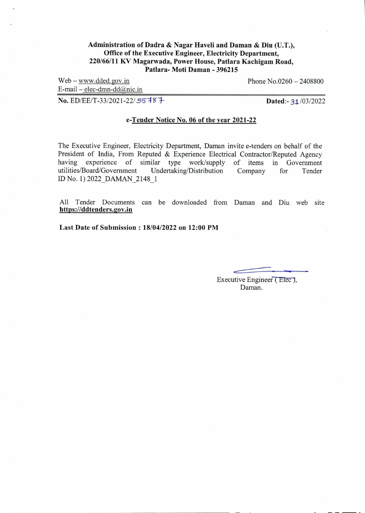#### **Administration of Dadra & Nagar Haveli and Daman & Diu (U.T.), Office of the Executive Engineer, Electricity Department, 220/66/11 KV Magarwada, Power House, Patlara Kachigam Road, Patlara- Moti Daman - 396215**

 $Web - www.dded.gov.in$  Phone  $No.0260 - 2408800$ 

 $E$ -mail – elec-dmn-dd $@$ nic.in

**No. ED/EE/T-33/2021-22/55787 7 Dated:- 31/03/2022** 

#### **e-Tender Notice No. 06 of the year 2021-22**

The Executive Engineer, Electricity Department, Daman invite e-tenders on behalf of the President of India, From Reputed & Experience Electrical Contractor/Reputed Agency having experience of similar type work/supply of items in Government utilities/Board/Government Undertaking/Distribution Company for Tender utilities/Board/Government ID No. 1) 2022 DAMAN 2148 1

All Tender Documents can be downloaded from Daman and Diu web site **https://ddtenders.2ov.in** 

**Last Date of Submission : 18/04/2022 on 12:00 PM** 

Executive Engineer (Elec), Daman.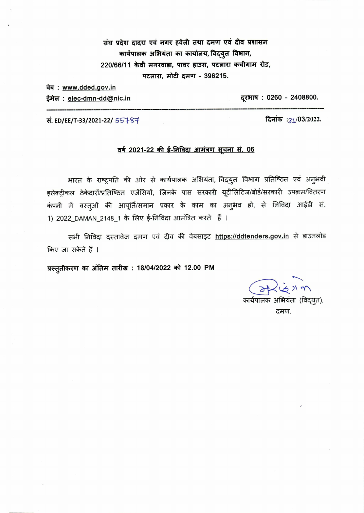संघ प्रदेश दादरा एवं नगर हवेली तथा दमण एवं दीव प्रशासन कार्यपालक अभियंता का कार्यालय, विद्युत विभाग, 220/66/11 केवी मगरवाड़ा, पावर हाउस, पटलारा कचीगाम रोड, पटलारा, मोटी दमण - 396215.

वेब: www.dded.gov.in

ईमेल: elec-dmn-dd@nic.in

दूरभाष: 0260 - 2408800.

दिनांक : 31/03/2022.

सं. ED/EE/T-33/2021-22/ 55787

## <u>वर्ष 2021-22 की ई-निविदा आमंत्रण सूचना सं. 06</u>

भारत के राष्ट्रपति की ओर से कार्यपालक अभियंता, विद्युत विभाग प्रतिष्ठित एवं अनुभवी इलेक्ट्रीकल ठेकेदारों/प्रतिष्ठित एजेंसियों, जिनके पास सरकारी यूटीलिटिज/बोर्ड/सरकारी उपक्रम/वितरण कंपनी में वस्तुओं की आपूर्ति/समान प्रकार के काम का अनुभव हो, से निविदा आईडी सं. 1) 2022\_DAMAN\_2148\_1 के लिए ई-निविदा आमंत्रित करते हैं ।

सभी निविदा दस्तावेज दमण एवं दीव की वेबसाइट https://ddtenders.gov.in से डाउनलोड किए जा सकेते हैं ।

प्रस्तुतीकरण का अंतिम तारीख: 18/04/2022 को 12.00 PM

कार्यपालक अभियंता (विद्युत), दमण.